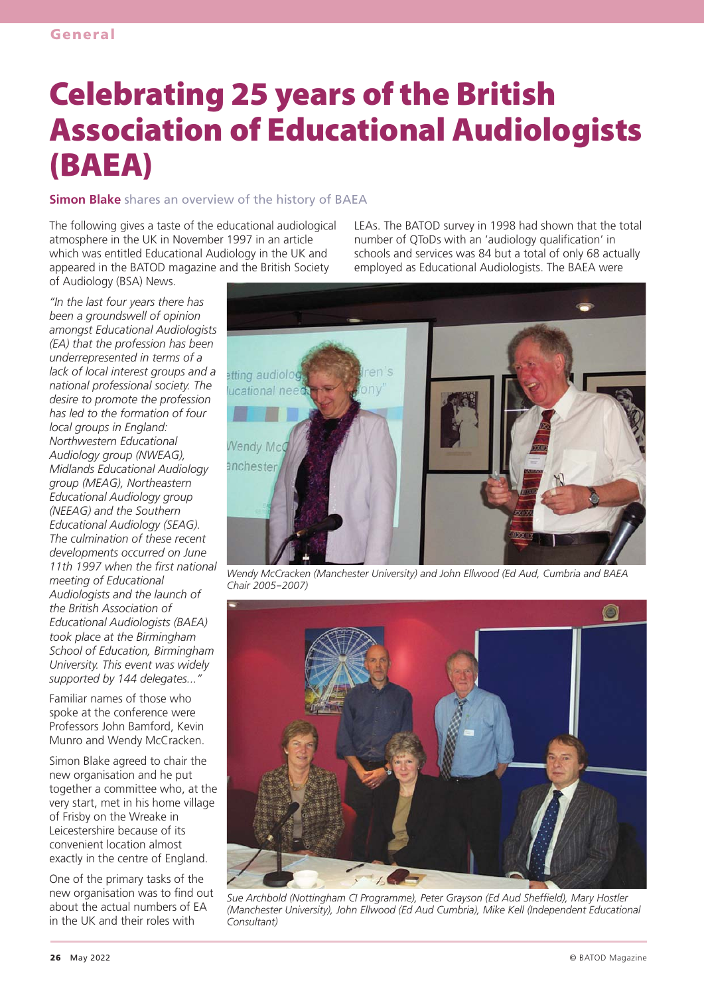# Celebrating 25 years of the British Association of Educational Audiologists (BAEA)

**Simon Blake** shares an overview of the history of BAEA

The following gives a taste of the educational audiological atmosphere in the UK in November 1997 in an article which was entitled Educational Audiology in the UK and appeared in the BATOD magazine and the British Society of Audiology (BSA) News.

LEAs. The BATOD survey in 1998 had shown that the total number of QToDs with an 'audiology qualification' in schools and services was 84 but a total of only 68 actually employed as Educational Audiologists. The BAEA were

*"In the last four years there has been a groundswell of opinion amongst Educational Audiologists (EA) that the profession has been underrepresented in terms of a lack of local interest groups and a national professional society. The desire to promote the profession has led to the formation of four local groups in England: Northwestern Educational Audiology group (NWEAG), Midlands Educational Audiology group (MEAG), Northeastern Educational Audiology group (NEEAG) and the Southern Educational Audiology (SEAG). The culmination of these recent developments occurred on June 11th 1997 when the first national meeting of Educational Audiologists and the launch of the British Association of Educational Audiologists (BAEA) took place at the Birmingham School of Education, Birmingham University. This event was widely supported by 144 delegates..."*

Familiar names of those who spoke at the conference were Professors John Bamford, Kevin Munro and Wendy McCracken.

Simon Blake agreed to chair the new organisation and he put together a committee who, at the very start, met in his home village of Frisby on the Wreake in Leicestershire because of its convenient location almost exactly in the centre of England.

One of the primary tasks of the new organisation was to find out about the actual numbers of EA in the UK and their roles with



*Wendy McCracken (Manchester University) and John Ellwood (Ed Aud, Cumbria and BAEA Chair 2005-2007)*



*Sue Archbold (Nottingham CI Programme), Peter Grayson (Ed Aud Sheffield), Mary Hostler (Manchester University), John Ellwood (Ed Aud Cumbria), Mike Kell (Independent Educational Consultant)*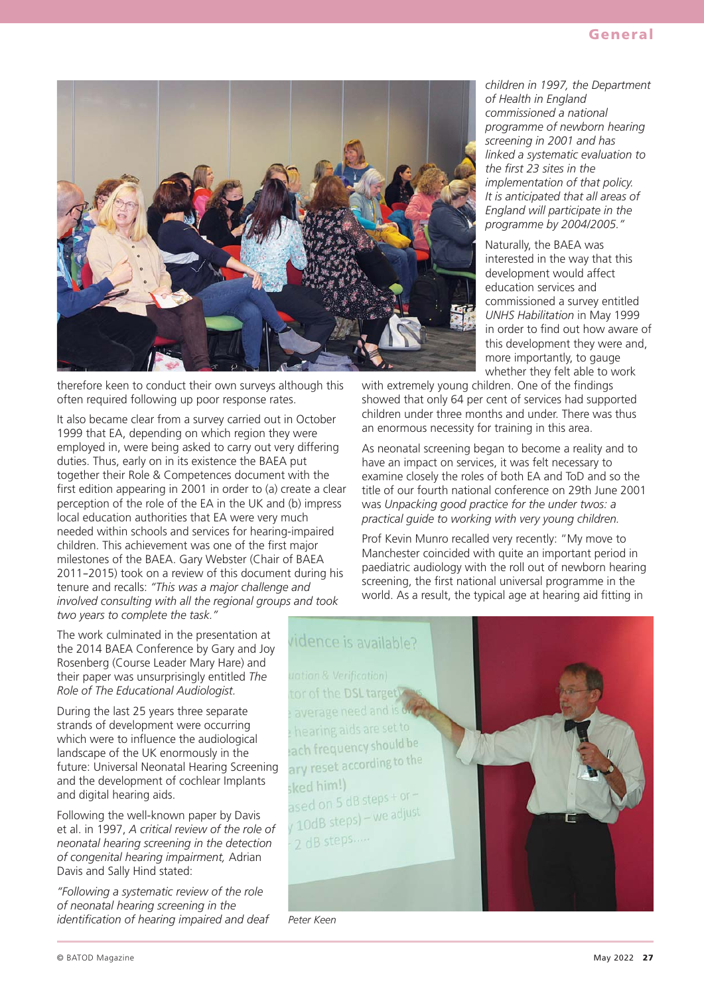

therefore keen to conduct their own surveys although this often required following up poor response rates.

It also became clear from a survey carried out in October 1999 that EA, depending on which region they were employed in, were being asked to carry out very differing duties. Thus, early on in its existence the BAEA put together their Role & Competences document with the first edition appearing in 2001 in order to (a) create a clear perception of the role of the EA in the UK and (b) impress local education authorities that EA were very much needed within schools and services for hearing-impaired children. This achievement was one of the first major milestones of the BAEA. Gary Webster (Chair of BAEA <sup>2011</sup>*-*2015) took on a review of this document during his tenure and recalls: *"This was a major challenge and involved consulting with all the regional groups and took two years to complete the task."*

The work culminated in the presentation at the 2014 BAEA Conference by Gary and Joy Rosenberg (Course Leader Mary Hare) and their paper was unsurprisingly entitled *The Role of The Educational Audiologist.*

During the last 25 years three separate strands of development were occurring which were to influence the audiological landscape of the UK enormously in the future: Universal Neonatal Hearing Screening and the development of cochlear Implants and digital hearing aids.

Following the well-known paper by Davis et al. in 1997, *A critical review of the role of neonatal hearing screening in the detection of congenital hearing impairment,* Adrian Davis and Sally Hind stated:

*"Following a systematic review of the role of neonatal hearing screening in the identification of hearing impaired and deaf* *children in 1997, the Department of Health in England commissioned a national programme of newborn hearing screening in 2001 and has linked a systematic evaluation to the first 23 sites in the implementation of that policy. It is anticipated that all areas of England will participate in the programme by 2004/2005."*

Naturally, the BAEA was interested in the way that this development would affect education services and commissioned a survey entitled *UNHS Habilitation* in May 1999 in order to find out how aware of this development they were and, more importantly, to gauge whether they felt able to work

with extremely young children. One of the findings showed that only 64 per cent of services had supported children under three months and under. There was thus an enormous necessity for training in this area.

As neonatal screening began to become a reality and to have an impact on services, it was felt necessary to examine closely the roles of both EA and ToD and so the title of our fourth national conference on 29th June 2001 was *Unpacking good practice for the under twos: a practical guide to working with very young children.* 

Prof Kevin Munro recalled very recently: "My move to Manchester coincided with quite an important period in paediatric audiology with the roll out of newborn hearing screening, the first national universal programme in the world. As a result, the typical age at hearing aid fitting in



© BATOD Magazine **May 2022 27** May 2022 27 May 2022 27 May 2022 27 May 2022 27 May 2022 27 May 2022 27 May 2022 27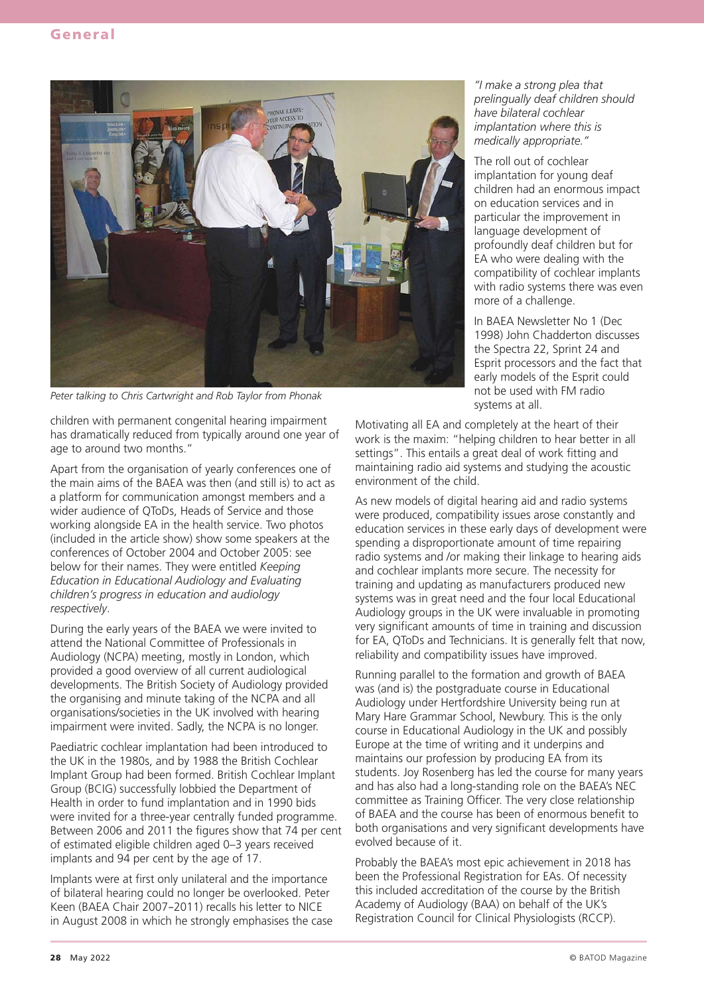

*Peter talking to Chris Cartwright and Rob Taylor from Phonak*

children with permanent congenital hearing impairment has dramatically reduced from typically around one year of age to around two months."

Apart from the organisation of yearly conferences one of the main aims of the BAEA was then (and still is) to act as a platform for communication amongst members and a wider audience of QToDs, Heads of Service and those working alongside EA in the health service. Two photos (included in the article show) show some speakers at the conferences of October 2004 and October 2005: see below for their names. They were entitled *Keeping Education in Educational Audiology and Evaluating children's progress in education and audiology respectively*.

During the early years of the BAEA we were invited to attend the National Committee of Professionals in Audiology (NCPA) meeting, mostly in London, which provided a good overview of all current audiological developments. The British Society of Audiology provided the organising and minute taking of the NCPA and all organisations/societies in the UK involved with hearing impairment were invited. Sadly, the NCPA is no longer.

Paediatric cochlear implantation had been introduced to the UK in the 1980s, and by 1988 the British Cochlear Implant Group had been formed. British Cochlear Implant Group (BCIG) successfully lobbied the Department of Health in order to fund implantation and in 1990 bids were invited for a three-year centrally funded programme. Between 2006 and 2011 the figures show that 74 per cent of estimated eligible children aged 0–3 years received implants and 94 per cent by the age of 17.

Implants were at first only unilateral and the importance of bilateral hearing could no longer be overlooked. Peter Keen (BAEA Chair 2007*-*2011) recalls his letter to NICE in August 2008 in which he strongly emphasises the case *"I make a strong plea that prelingually deaf children should have bilateral cochlear implantation where this is medically appropriate."*

The roll out of cochlear implantation for young deaf children had an enormous impact on education services and in particular the improvement in language development of profoundly deaf children but for EA who were dealing with the compatibility of cochlear implants with radio systems there was even more of a challenge.

In BAEA Newsletter No 1 (Dec 1998) John Chadderton discusses the Spectra 22, Sprint 24 and Esprit processors and the fact that early models of the Esprit could not be used with FM radio systems at all.

Motivating all EA and completely at the heart of their work is the maxim: "helping children to hear better in all settings". This entails a great deal of work fitting and maintaining radio aid systems and studying the acoustic environment of the child.

As new models of digital hearing aid and radio systems were produced, compatibility issues arose constantly and education services in these early days of development were spending a disproportionate amount of time repairing radio systems and /or making their linkage to hearing aids and cochlear implants more secure. The necessity for training and updating as manufacturers produced new systems was in great need and the four local Educational Audiology groups in the UK were invaluable in promoting very significant amounts of time in training and discussion for EA, QToDs and Technicians. It is generally felt that now, reliability and compatibility issues have improved.

Running parallel to the formation and growth of BAEA was (and is) the postgraduate course in Educational Audiology under Hertfordshire University being run at Mary Hare Grammar School, Newbury. This is the only course in Educational Audiology in the UK and possibly Europe at the time of writing and it underpins and maintains our profession by producing EA from its students. Joy Rosenberg has led the course for many years and has also had a long-standing role on the BAEA's NEC committee as Training Officer. The very close relationship of BAEA and the course has been of enormous benefit to both organisations and very significant developments have evolved because of it.

Probably the BAEA's most epic achievement in 2018 has been the Professional Registration for EAs. Of necessity this included accreditation of the course by the British Academy of Audiology (BAA) on behalf of the UK's Registration Council for Clinical Physiologists (RCCP).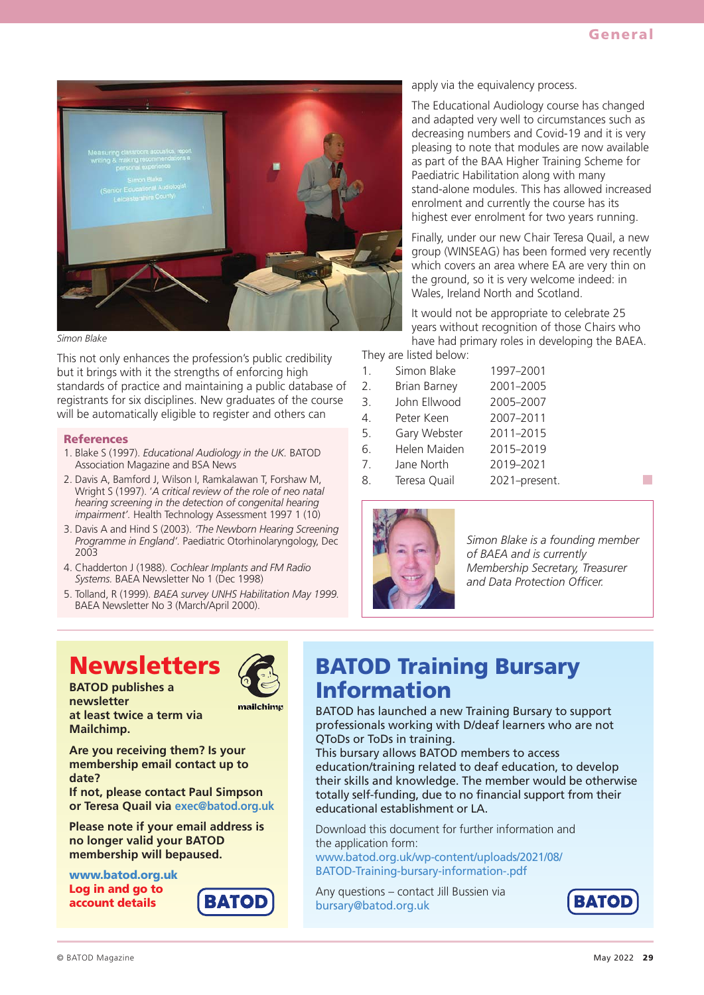

*Simon Blake*

This not only enhances the profession's public credibility but it brings with it the strengths of enforcing high standards of practice and maintaining a public database of registrants for six disciplines. New graduates of the course will be automatically eligible to register and others can

#### References

- 1. Blake S (1997). *Educational Audiology in the UK.* BATOD Association Magazine and BSA News
- 2. Davis A, Bamford J, Wilson I, Ramkalawan T, Forshaw M, Wright S (1997). '*A critical review of the role of neo natal hearing screening in the detection of congenital hearing impairment'.* Health Technology Assessment 1997 1 (10)
- 3. Davis A and Hind S (2003). *'The Newborn Hearing Screening Programme in England'.* Paediatric Otorhinolaryngology, Dec 2003
- 4. Chadderton J (1988). *Cochlear Implants and FM Radio Systems.* BAEA Newsletter No 1 (Dec 1998)
- 5. Tolland, R (1999). *BAEA survey UNHS Habilitation May 1999.* BAEA Newsletter No 3 (March/April 2000).

apply via the equivalency process.

The Educational Audiology course has changed and adapted very well to circumstances such as decreasing numbers and Covid-19 and it is very pleasing to note that modules are now available as part of the BAA Higher Training Scheme for Paediatric Habilitation along with many stand-alone modules. This has allowed increased enrolment and currently the course has its highest ever enrolment for two years running.

Finally, under our new Chair Teresa Quail, a new group (WINSEAG) has been formed very recently which covers an area where EA are very thin on the ground, so it is very welcome indeed: in Wales, Ireland North and Scotland.

It would not be appropriate to celebrate 25 years without recognition of those Chairs who have had primary roles in developing the BAEA.

They are listed below:

- 1. Simon Blake 1997–2001
- 2. Brian Barney 2001–2005
- 3. John Ellwood 2005–2007
- 4. Peter Keen 2007–2011
- 5. Gary Webster 2011–2015
- 6. Helen Maiden 2015–2019
- 7. Jane North 2019–2021
- 8. Teresa Quail 2021–present.



*Simon Blake is a founding member of BAEA and is currently Membership Secretary, Treasurer and Data Protection Officer.*

## **Newsletters**

**BATOD publishes a newsletter at least twice a term via Mailchimp.** 



ВАТОІ

**Are you receiving them? Is your membership email contact up to date?** 

**If not, please contact Paul Simpson or Teresa Quail via exec@batod.org.uk**

**Please note if your email address is no longer valid your BATOD membership will bepaused.**

www.batod.org.uk Log in and go to account details

### BATOD Training Bursary Information

BATOD has launched a new Training Bursary to support professionals working with D/deaf learners who are not QToDs or ToDs in training.

This bursary allows BATOD members to access education/training related to deaf education, to develop their skills and knowledge. The member would be otherwise totally self-funding, due to no financial support from their educational establishment or LA.

Download this document for further information and the application form:

www.batod.org.uk/wp-content/uploads/2021/08/ BATOD-Training-bursary-information-.pdf

Any questions – contact Jill Bussien via bursary@batod.org.uk